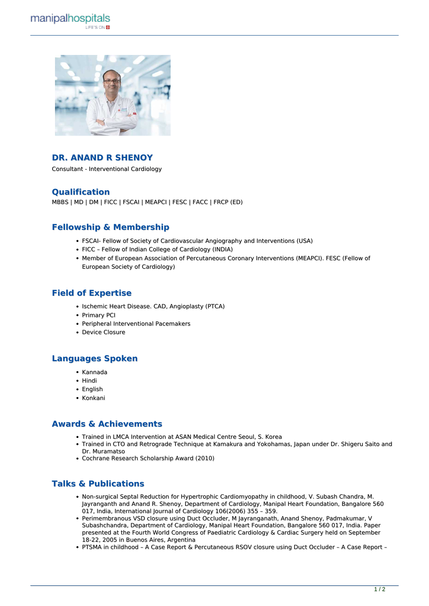

## **DR. ANAND R SHENOY**

Consultant - Interventional Cardiology

### **Qualification**

MBBS | MD | DM | FICC | FSCAI | MEAPCI | FESC | FACC | FRCP (ED)

## **Fellowship & Membership**

- FSCAI- Fellow of Society of Cardiovascular Angiography and Interventions (USA)
- FICC Fellow of Indian College of Cardiology (INDIA)
- Member of European Association of Percutaneous Coronary Interventions (MEAPCI). FESC (Fellow of European Society of Cardiology)

# **Field of Expertise**

- Ischemic Heart Disease. CAD, Angioplasty (PTCA)
- Primary PCI
- Peripheral Interventional Pacemakers
- Device Closure

## **Languages Spoken**

- Kannada
- Hindi
- English
- Konkani

### **Awards & Achievements**

- Trained in LMCA Intervention at ASAN Medical Centre Seoul, S. Korea
- Trained in CTO and Retrograde Technique at Kamakura and Yokohamas, Japan under Dr. Shigeru Saito and Dr. Muramatso
- Cochrane Research Scholarship Award (2010)

## **Talks & Publications**

- Non-surgical Septal Reduction for Hypertrophic Cardiomyopathy in childhood, V. Subash Chandra, M. Jayranganth and Anand R. Shenoy, Department of Cardiology, Manipal Heart Foundation, Bangalore 560 017, India, International Journal of Cardiology 106(2006) 355 – 359.
- Perimembranous VSD closure using Duct Occluder, M Jayranganath, Anand Shenoy, Padmakumar, V Subashchandra, Department of Cardiology, Manipal Heart Foundation, Bangalore 560 017, India. Paper presented at the Fourth World Congress of Paediatric Cardiology & Cardiac Surgery held on September 18-22, 2005 in Buenos Aires, Argentina
- PTSMA in childhood A Case Report & Percutaneous RSOV closure using Duct Occluder A Case Report –